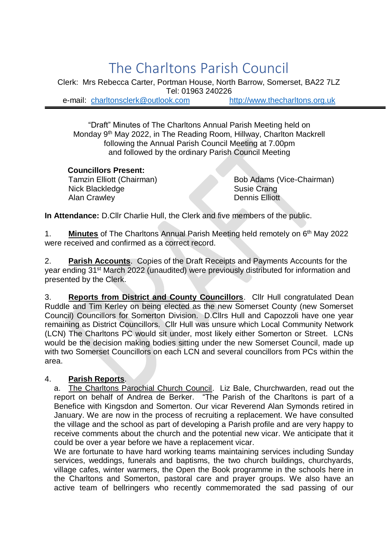# The Charltons Parish Council

Clerk: Mrs Rebecca Carter, Portman House, North Barrow, Somerset, BA22 7LZ Tel: 01963 240226

e-mail: [charltonsclerk@outlook.com](mailto:charltonsclerk@outlook.com) [http://www.thecharltons.org.uk](http://www.thecharltons.org.uk/)

"Draft" Minutes of The Charltons Annual Parish Meeting held on Monday 9th May 2022, in The Reading Room, Hillway, Charlton Mackrell following the Annual Parish Council Meeting at 7.00pm and followed by the ordinary Parish Council Meeting

# **Councillors Present:** Nick Blackledge Susie Crang Alan Crawley **Dennis Elliott**

Tamzin Elliott (Chairman) Bob Adams (Vice-Chairman)

**In Attendance:** D.Cllr Charlie Hull, the Clerk and five members of the public.

1. Minutes of The Charltons Annual Parish Meeting held remotely on 6<sup>th</sup> May 2022 were received and confirmed as a correct record.

2. **Parish Accounts**. Copies of the Draft Receipts and Payments Accounts for the year ending 31<sup>st</sup> March 2022 (unaudited) were previously distributed for information and presented by the Clerk.

3. **Reports from District and County Councillors**. Cllr Hull congratulated Dean Ruddle and Tim Kerley on being elected as the new Somerset County (new Somerset Council) Councillors for Somerton Division. D.Cllrs Hull and Capozzoli have one year remaining as District Councillors. Cllr Hull was unsure which Local Community Network (LCN) The Charltons PC would sit under, most likely either Somerton or Street. LCNs would be the decision making bodies sitting under the new Somerset Council, made up with two Somerset Councillors on each LCN and several councillors from PCs within the area.

# 4. **Parish Reports**.

a. The Charltons Parochial Church Council. Liz Bale, Churchwarden, read out the report on behalf of Andrea de Berker. "The Parish of the Charltons is part of a Benefice with Kingsdon and Somerton. Our vicar Reverend Alan Symonds retired in January. We are now in the process of recruiting a replacement. We have consulted the village and the school as part of developing a Parish profile and are very happy to receive comments about the church and the potential new vicar. We anticipate that it could be over a year before we have a replacement vicar.

We are fortunate to have hard working teams maintaining services including Sunday services, weddings, funerals and baptisms, the two church buildings, churchyards, village cafes, winter warmers, the Open the Book programme in the schools here in the Charltons and Somerton, pastoral care and prayer groups. We also have an active team of bellringers who recently commemorated the sad passing of our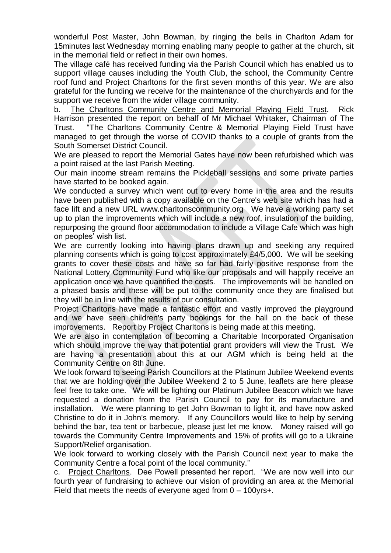wonderful Post Master, John Bowman, by ringing the bells in Charlton Adam for 15minutes last Wednesday morning enabling many people to gather at the church, sit in the memorial field or reflect in their own homes.

The village café has received funding via the Parish Council which has enabled us to support village causes including the Youth Club, the school, the Community Centre roof fund and Project Charltons for the first seven months of this year. We are also grateful for the funding we receive for the maintenance of the churchyards and for the support we receive from the wider village community.

b. The Charltons Community Centre and Memorial Playing Field Trust. Rick Harrison presented the report on behalf of Mr Michael Whitaker, Chairman of The Trust. "The Charltons Community Centre & Memorial Playing Field Trust have managed to get through the worse of COVID thanks to a couple of grants from the South Somerset District Council.

We are pleased to report the Memorial Gates have now been refurbished which was a point raised at the last Parish Meeting.

Our main income stream remains the Pickleball sessions and some private parties have started to be booked again.

We conducted a survey which went out to every home in the area and the results have been published with a copy available on the Centre's web site which has had a face lift and a new URL www.charltonscommunity.org We have a working party set up to plan the improvements which will include a new roof, insulation of the building, repurposing the ground floor accommodation to include a Village Cafe which was high on peoples' wish list.

We are currently looking into having plans drawn up and seeking any required planning consents which is going to cost approximately £4/5,000. We will be seeking grants to cover these costs and have so far had fairly positive response from the National Lottery Community Fund who like our proposals and will happily receive an application once we have quantified the costs. The improvements will be handled on a phased basis and these will be put to the community once they are finalised but they will be in line with the results of our consultation.

Project Charltons have made a fantastic effort and vastly improved the playground and we have seen children's party bookings for the hall on the back of these improvements. Report by Project Charltons is being made at this meeting.

We are also in contemplation of becoming a Charitable Incorporated Organisation which should improve the way that potential grant providers will view the Trust. We are having a presentation about this at our AGM which is being held at the Community Centre on 8th June.

We look forward to seeing Parish Councillors at the Platinum Jubilee Weekend events that we are holding over the Jubilee Weekend 2 to 5 June, leaflets are here please feel free to take one. We will be lighting our Platinum Jubilee Beacon which we have requested a donation from the Parish Council to pay for its manufacture and installation. We were planning to get John Bowman to light it, and have now asked Christine to do it in John's memory. If any Councillors would like to help by serving behind the bar, tea tent or barbecue, please just let me know. Money raised will go towards the Community Centre Improvements and 15% of profits will go to a Ukraine Support/Relief organisation.

We look forward to working closely with the Parish Council next year to make the Community Centre a focal point of the local community."

c. Project Charltons. Dee Powell presented her report. "We are now well into our fourth year of fundraising to achieve our vision of providing an area at the Memorial Field that meets the needs of everyone aged from  $0 - 100$  vrs+.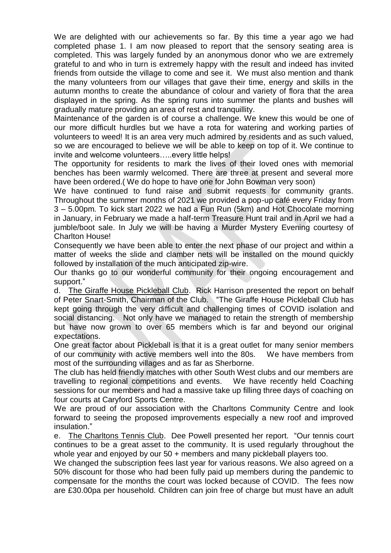We are delighted with our achievements so far. By this time a year ago we had completed phase 1. I am now pleased to report that the sensory seating area is completed. This was largely funded by an anonymous donor who we are extremely grateful to and who in turn is extremely happy with the result and indeed has invited friends from outside the village to come and see it. We must also mention and thank the many volunteers from our villages that gave their time, energy and skills in the autumn months to create the abundance of colour and variety of flora that the area displayed in the spring. As the spring runs into summer the plants and bushes will gradually mature providing an area of rest and tranquillity.

Maintenance of the garden is of course a challenge. We knew this would be one of our more difficult hurdles but we have a rota for watering and working parties of volunteers to weed! It is an area very much admired by residents and as such valued, so we are encouraged to believe we will be able to keep on top of it. We continue to invite and welcome volunteers…..every little helps!

The opportunity for residents to mark the lives of their loved ones with memorial benches has been warmly welcomed. There are three at present and several more have been ordered.( We do hope to have one for John Bowman very soon)

We have continued to fund raise and submit requests for community grants. Throughout the summer months of 2021 we provided a pop-up café every Friday from 3 – 5.00pm. To kick start 2022 we had a Fun Run (5km) and Hot Chocolate morning in January, in February we made a half-term Treasure Hunt trail and in April we had a jumble/boot sale. In July we will be having a Murder Mystery Evening courtesy of Charlton House!

Consequently we have been able to enter the next phase of our project and within a matter of weeks the slide and clamber nets will be installed on the mound quickly followed by installation of the much anticipated zip-wire.

Our thanks go to our wonderful community for their ongoing encouragement and support."

d. The Giraffe House Pickleball Club. Rick Harrison presented the report on behalf of Peter Snart-Smith, Chairman of the Club. "The Giraffe House Pickleball Club has kept going through the very difficult and challenging times of COVID isolation and social distancing. Not only have we managed to retain the strength of membership but have now grown to over 65 members which is far and beyond our original expectations.

One great factor about Pickleball is that it is a great outlet for many senior members of our community with active members well into the 80s. We have members from most of the surrounding villages and as far as Sherborne.

The club has held friendly matches with other South West clubs and our members are travelling to regional competitions and events. We have recently held Coaching sessions for our members and had a massive take up filling three days of coaching on four courts at Caryford Sports Centre.

We are proud of our association with the Charltons Community Centre and look forward to seeing the proposed improvements especially a new roof and improved insulation."

e. The Charltons Tennis Club. Dee Powell presented her report. "Our tennis court continues to be a great asset to the community. It is used regularly throughout the whole year and enjoyed by our 50 + members and many pickleball players too.

We changed the subscription fees last year for various reasons. We also agreed on a 50% discount for those who had been fully paid up members during the pandemic to compensate for the months the court was locked because of COVID. The fees now are £30.00pa per household. Children can join free of charge but must have an adult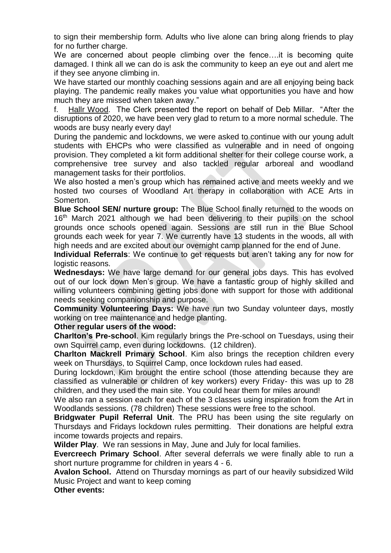to sign their membership form. Adults who live alone can bring along friends to play for no further charge.

We are concerned about people climbing over the fence....it is becoming quite damaged. I think all we can do is ask the community to keep an eye out and alert me if they see anyone climbing in.

We have started our monthly coaching sessions again and are all enjoying being back playing. The pandemic really makes you value what opportunities you have and how much they are missed when taken away."

f. Hallr Wood. The Clerk presented the report on behalf of Deb Millar. "After the disruptions of 2020, we have been very glad to return to a more normal schedule. The woods are busy nearly every day!

During the pandemic and lockdowns, we were asked to continue with our young adult students with EHCPs who were classified as vulnerable and in need of ongoing provision. They completed a kit form additional shelter for their college course work, a comprehensive tree survey and also tackled regular arboreal and woodland management tasks for their portfolios.

We also hosted a men's group which has remained active and meets weekly and we hosted two courses of Woodland Art therapy in collaboration with ACE Arts in Somerton.

**Blue School SEN/ nurture group:** The Blue School finally returned to the woods on 16<sup>th</sup> March 2021 although we had been delivering to their pupils on the school grounds once schools opened again. Sessions are still run in the Blue School grounds each week for year 7. We currently have 13 students in the woods, all with high needs and are excited about our overnight camp planned for the end of June.

**Individual Referrals**: We continue to get requests but aren't taking any for now for logistic reasons.

**Wednesdays:** We have large demand for our general jobs days. This has evolved out of our lock down Men's group. We have a fantastic group of highly skilled and willing volunteers combining getting jobs done with support for those with additional needs seeking companionship and purpose.

**Community Volunteering Days:** We have run two Sunday volunteer days, mostly working on tree maintenance and hedge planting.

#### **Other regular users of the wood:**

**Charlton's Pre-school**. Kim regularly brings the Pre-school on Tuesdays, using their own Squirrel camp, even during lockdowns. (12 children).

**Charlton Mackrell Primary School**. Kim also brings the reception children every week on Thursdays, to Squirrel Camp, once lockdown rules had eased.

During lockdown, Kim brought the entire school (those attending because they are classified as vulnerable or children of key workers) every Friday- this was up to 28 children, and they used the main site. You could hear them for miles around!

We also ran a session each for each of the 3 classes using inspiration from the Art in Woodlands sessions. (78 children) These sessions were free to the school.

**Bridgwater Pupil Referral Unit**. The PRU has been using the site regularly on Thursdays and Fridays lockdown rules permitting. Their donations are helpful extra income towards projects and repairs.

**Wilder Play**.We ran sessions in May, June and July for local families.

**Evercreech Primary School**. After several deferrals we were finally able to run a short nurture programme for children in years 4 - 6.

**Avalon School.** Attend on Thursday mornings as part of our heavily subsidized Wild Music Project and want to keep coming

**Other events:**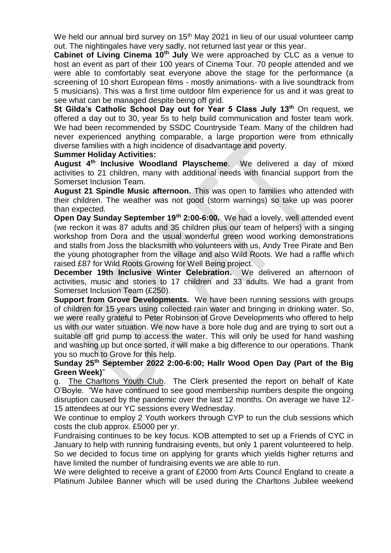We held our annual bird survey on 15<sup>th</sup> May 2021 in lieu of our usual volunteer camp out. The nightingales have very sadly, not returned last year or this year.

**Cabinet of Living Cinema 10th July** We were approached by CLC as a venue to host an event as part of their 100 years of Cinema Tour. 70 people attended and we were able to comfortably seat everyone above the stage for the performance (a screening of 10 short European films - mostly animations- with a live soundtrack from 5 musicians). This was a first time outdoor film experience for us and it was great to see what can be managed despite being off grid.

**St Gilda's Catholic School Day out for Year 5 Class July 13th** On request, we offered a day out to 30, year 5s to help build communication and foster team work. We had been recommended by SSDC Countryside Team. Many of the children had never experienced anything comparable, a large proportion were from ethnically diverse families with a high incidence of disadvantage and poverty.

#### **Summer Holiday Activities:**

**August 4th Inclusive Woodland Playscheme**.We delivered a day of mixed activities to 21 children, many with additional needs with financial support from the Somerset Inclusion Team.

**August 21 Spindle Music afternoon.** This was open to families who attended with their children. The weather was not good (storm warnings) so take up was poorer than expected.

**Open Day Sunday September 19th 2:00-6:00.** We had a lovely, well attended event (we reckon it was 87 adults and 35 children plus our team of helpers) with a singing workshop from Dora and the usual wonderful green wood working demonstrations and stalls from Joss the blacksmith who volunteers with us, Andy Tree Pirate and Ben the young photographer from the village and also Wild Roots. We had a raffle which raised £87 for Wild Roots Growing for Well Being project.

**December 19th Inclusive Winter Celebration.** We delivered an afternoon of activities, music and stories to 17 children and 33 adults. We had a grant from Somerset Inclusion Team (£250).

**Support from Grove Developments.** We have been running sessions with groups of children for 15 years using collected rain water and bringing in drinking water. So, we were really grateful to Peter Robinson of Grove Developments who offered to help us with our water situation. We now have a bore hole dug and are trying to sort out a suitable off grid pump to access the water. This will only be used for hand washing and washing up but once sorted, it will make a big difference to our operations. Thank you so much to Grove for this help.

## **Sunday 25th September 2022 2:00-6:00; Hallr Wood Open Day (Part of the Big Green Week)**"

g. The Charltons Youth Club. The Clerk presented the report on behalf of Kate O'Boyle. "We have continued to see good membership numbers despite the ongoing disruption caused by the pandemic over the last 12 months. On average we have 12- 15 attendees at our YC sessions every Wednesday.

We continue to employ 2 Youth workers through CYP to run the club sessions which costs the club approx. £5000 per yr.

Fundraising continues to be key focus. KOB attempted to set up a Friends of CYC in January to help with running fundraising events, but only 1 parent volunteered to help. So we decided to focus time on applying for grants which yields higher returns and have limited the number of fundraising events we are able to run.

We were delighted to receive a grant of £2000 from Arts Council England to create a Platinum Jubilee Banner which will be used during the Charltons Jubilee weekend